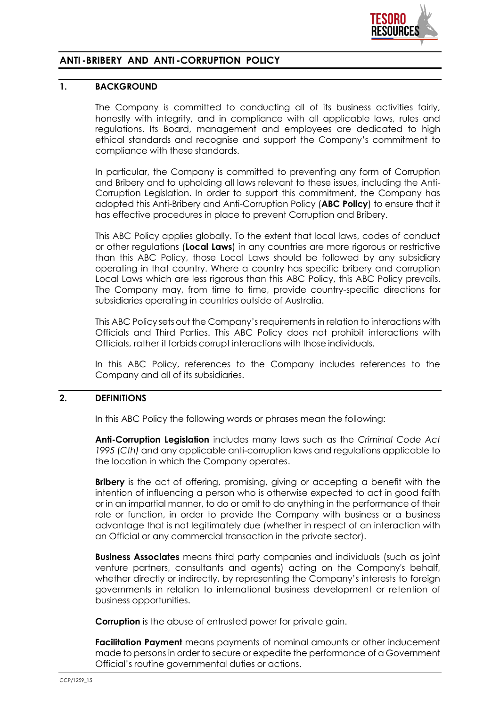

# **ANTI -BRIBERY AND ANTI -CORRUPTION POLICY**

#### **1. BACKGROUND**

The Company is committed to conducting all of its business activities fairly, honestly with integrity, and in compliance with all applicable laws, rules and regulations. Its Board, management and employees are dedicated to high ethical standards and recognise and support the Company's commitment to compliance with these standards.

In particular, the Company is committed to preventing any form of Corruption and Bribery and to upholding all laws relevant to these issues, including the Anti-Corruption Legislation. In order to support this commitment, the Company has adopted this Anti-Bribery and Anti-Corruption Policy (**ABC Policy**) to ensure that it has effective procedures in place to prevent Corruption and Bribery.

This ABC Policy applies globally. To the extent that local laws, codes of conduct or other regulations (**Local Laws**) in any countries are more rigorous or restrictive than this ABC Policy, those Local Laws should be followed by any subsidiary operating in that country. Where a country has specific bribery and corruption Local Laws which are less rigorous than this ABC Policy, this ABC Policy prevails. The Company may, from time to time, provide country-specific directions for subsidiaries operating in countries outside of Australia.

This ABC Policy sets out the Company's requirements in relation to interactions with Officials and Third Parties. This ABC Policy does not prohibit interactions with Officials, rather it forbids corrupt interactions with those individuals.

In this ABC Policy, references to the Company includes references to the Company and all of its subsidiaries.

### **2. DEFINITIONS**

In this ABC Policy the following words or phrases mean the following:

**Anti-Corruption Legislation** includes many laws such as the *Criminal Code Act 1995* (*Cth)* and any applicable anti-corruption laws and regulations applicable to the location in which the Company operates.

**Bribery** is the act of offering, promising, giving or accepting a benefit with the intention of influencing a person who is otherwise expected to act in good faith or in an impartial manner, to do or omit to do anything in the performance of their role or function, in order to provide the Company with business or a business advantage that is not legitimately due (whether in respect of an interaction with an Official or any commercial transaction in the private sector).

**Business Associates** means third party companies and individuals (such as joint venture partners, consultants and agents) acting on the Company's behalf, whether directly or indirectly, by representing the Company's interests to foreign governments in relation to international business development or retention of business opportunities.

**Corruption** is the abuse of entrusted power for private gain.

**Facilitation Payment** means payments of nominal amounts or other inducement made to persons in order to secure or expedite the performance of a Government Official's routine governmental duties or actions.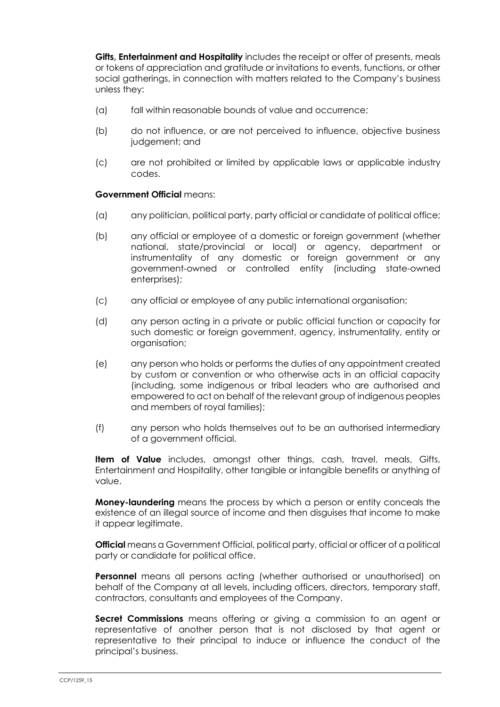**Gifts, Entertainment and Hospitality** includes the receipt or offer of presents, meals or tokens of appreciation and gratitude or invitations to events, functions, or other social gatherings, in connection with matters related to the Company's business unless they:

- (a) fall within reasonable bounds of value and occurrence;
- (b) do not influence, or are not perceived to influence, objective business judgement; and
- (c) are not prohibited or limited by applicable laws or applicable industry codes.

#### **Government Official** means:

- (a) any politician, political party, party official or candidate of political office;
- (b) any official or employee of a domestic or foreign government (whether national, state/provincial or local) or agency, department or instrumentality of any domestic or foreign government or any government-owned or controlled entity (including state-owned enterprises);
- (c) any official or employee of any public international organisation;
- (d) any person acting in a private or public official function or capacity for such domestic or foreign government, agency, instrumentality, entity or organisation;
- (e) any person who holds or performs the duties of any appointment created by custom or convention or who otherwise acts in an official capacity (including, some indigenous or tribal leaders who are authorised and empowered to act on behalf of the relevant group of indigenous peoples and members of royal families);
- (f) any person who holds themselves out to be an authorised intermediary of a government official.

**Item of Value** includes, amongst other things, cash, travel, meals, Gifts, Entertainment and Hospitality, other tangible or intangible benefits or anything of value.

**Money-laundering** means the process by which a person or entity conceals the existence of an illegal source of income and then disguises that income to make it appear legitimate.

**Official** means a Government Official, political party, official or officer of a political party or candidate for political office.

**Personnel** means all persons acting (whether authorised or unauthorised) on behalf of the Company at all levels, including officers, directors, temporary staff, contractors, consultants and employees of the Company.

**Secret Commissions** means offering or giving a commission to an agent or representative of another person that is not disclosed by that agent or representative to their principal to induce or influence the conduct of the principal's business.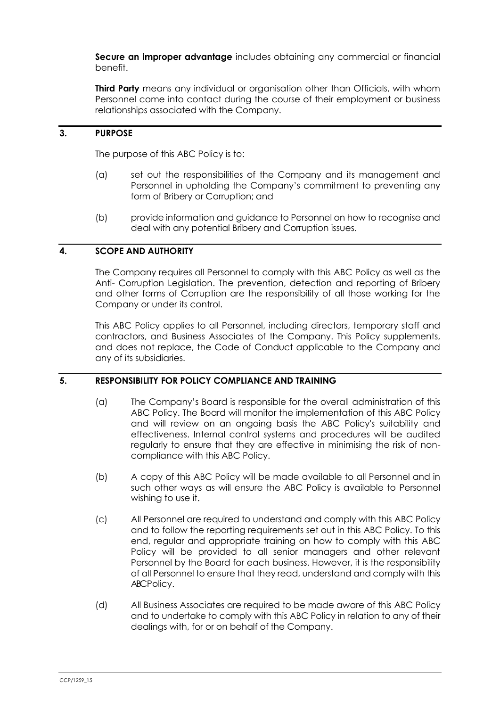**Secure an improper advantage** includes obtaining any commercial or financial benefit.

**Third Party** means any individual or organisation other than Officials, with whom Personnel come into contact during the course of their employment or business relationships associated with the Company.

## **3. PURPOSE**

The purpose of this ABC Policy is to:

- (a) set out the responsibilities of the Company and its management and Personnel in upholding the Company's commitment to preventing any form of Bribery or Corruption; and
- (b) provide information and guidance to Personnel on how to recognise and deal with any potential Bribery and Corruption issues.

## **4. SCOPE AND AUTHORITY**

The Company requires all Personnel to comply with this ABC Policy as well as the Anti- Corruption Legislation. The prevention, detection and reporting of Bribery and other forms of Corruption are the responsibility of all those working for the Company or under its control.

This ABC Policy applies to all Personnel, including directors, temporary staff and contractors, and Business Associates of the Company. This Policy supplements, and does not replace, the Code of Conduct applicable to the Company and any of its subsidiaries.

### **5. RESPONSIBILITY FOR POLICY COMPLIANCE AND TRAINING**

- (a) The Company's Board is responsible for the overall administration of this ABC Policy. The Board will monitor the implementation of this ABC Policy and will review on an ongoing basis the ABC Policy's suitability and effectiveness. Internal control systems and procedures will be audited regularly to ensure that they are effective in minimising the risk of noncompliance with this ABC Policy.
- (b) A copy of this ABC Policy will be made available to all Personnel and in such other ways as will ensure the ABC Policy is available to Personnel wishing to use it.
- (c) All Personnel are required to understand and comply with this ABC Policy and to follow the reporting requirements set out in this ABC Policy. To this end, regular and appropriate training on how to comply with this ABC Policy will be provided to all senior managers and other relevant Personnel by the Board for each business. However, it is the responsibility of all Personnel to ensure that they read, understand and comply with this ABC Policy.
- (d) All Business Associates are required to be made aware of this ABC Policy and to undertake to comply with this ABC Policy in relation to any of their dealings with, for or on behalf of the Company.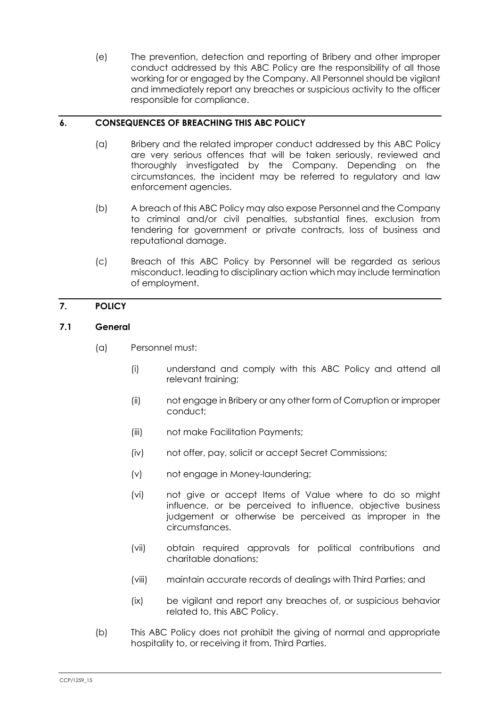(e) The prevention, detection and reporting of Bribery and other improper conduct addressed by this ABC Policy are the responsibility of all those working for or engaged by the Company. All Personnel should be vigilant and immediately report any breaches or suspicious activity to the officer responsible for compliance.

### **6. CONSEQUENCES OF BREACHING THIS ABC POLICY**

- (a) Bribery and the related improper conduct addressed by this ABC Policy are very serious offences that will be taken seriously, reviewed and thoroughly investigated by the Company. Depending on the circumstances, the incident may be referred to regulatory and law enforcement agencies.
- (b) A breach of this ABC Policy may also expose Personnel and the Company to criminal and/or civil penalties, substantial fines, exclusion from tendering for government or private contracts, loss of business and reputational damage.
- (c) Breach of this ABC Policy by Personnel will be regarded as serious misconduct, leading to disciplinary action which may include termination of employment.

# **7. POLICY**

#### **7.1 General**

- (a) Personnel must:
	- (i) understand and comply with this ABC Policy and attend all relevant training;
	- (ii) not engage in Bribery or any other form of Corruption or improper conduct;
	- (iii) not make Facilitation Payments;
	- (iv) not offer, pay, solicit or accept Secret Commissions;
	- (v) not engage in Money-laundering;
	- (vi) not give or accept Items of Value where to do so might influence, or be perceived to influence, objective business judgement or otherwise be perceived as improper in the circumstances.
	- (vii) obtain required approvals for political contributions and charitable donations;
	- (viii) maintain accurate records of dealings with Third Parties; and
	- (ix) be vigilant and report any breaches of, or suspicious behavior related to, this ABC Policy.
- (b) This ABC Policy does not prohibit the giving of normal and appropriate hospitality to, or receiving it from, Third Parties.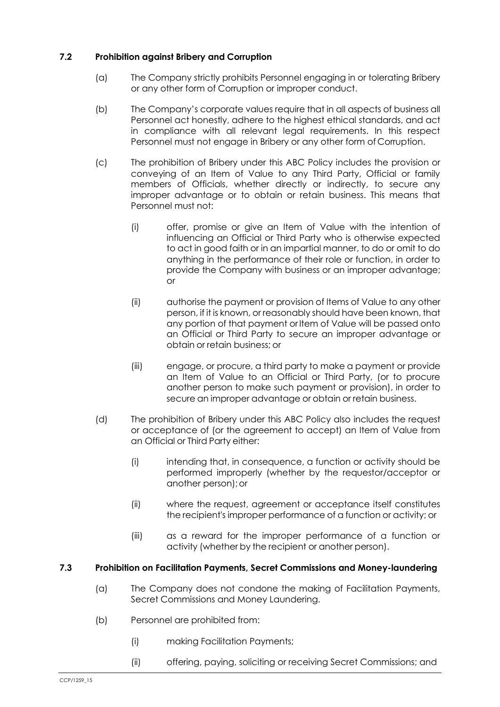## **7.2 Prohibition against Bribery and Corruption**

- (a) The Company strictly prohibits Personnel engaging in or tolerating Bribery or any other form of Corruption or improper conduct.
- (b) The Company's corporate values require that in all aspects of business all Personnel act honestly, adhere to the highest ethical standards, and act in compliance with all relevant legal requirements. In this respect Personnel must not engage in Bribery or any other form of Corruption.
- (c) The prohibition of Bribery under this ABC Policy includes the provision or conveying of an Item of Value to any Third Party, Official or family members of Officials, whether directly or indirectly, to secure any improper advantage or to obtain or retain business. This means that Personnel must not:
	- (i) offer, promise or give an Item of Value with the intention of influencing an Official or Third Party who is otherwise expected to act in good faith or in an impartial manner, to do or omit to do anything in the performance of their role or function, in order to provide the Company with business or an improper advantage; or
	- (ii) authorise the payment or provision of Items of Value to any other person, if it is known, or reasonably should have been known, that any portion of that payment or Item of Value will be passed onto an Official or Third Party to secure an improper advantage or obtain or retain business; or
	- (iii) engage, or procure, a third party to make a payment or provide an Item of Value to an Official or Third Party, (or to procure another person to make such payment or provision), in order to secure an improper advantage or obtain or retain business.
- (d) The prohibition of Bribery under this ABC Policy also includes the request or acceptance of (or the agreement to accept) an Item of Value from an Official or Third Party either:
	- (i) intending that, in consequence, a function or activity should be performed improperly (whether by the requestor/acceptor or another person);or
	- (ii) where the request, agreement or acceptance itself constitutes the recipient's improper performance of a function or activity; or
	- (iii) as a reward for the improper performance of a function or activity (whether by the recipient or another person).

### **7.3 Prohibition on Facilitation Payments, Secret Commissions and Money-laundering**

- (a) The Company does not condone the making of Facilitation Payments, Secret Commissions and Money Laundering.
- (b) Personnel are prohibited from:
	- (i) making Facilitation Payments;
	- (ii) offering, paying, soliciting or receiving Secret Commissions; and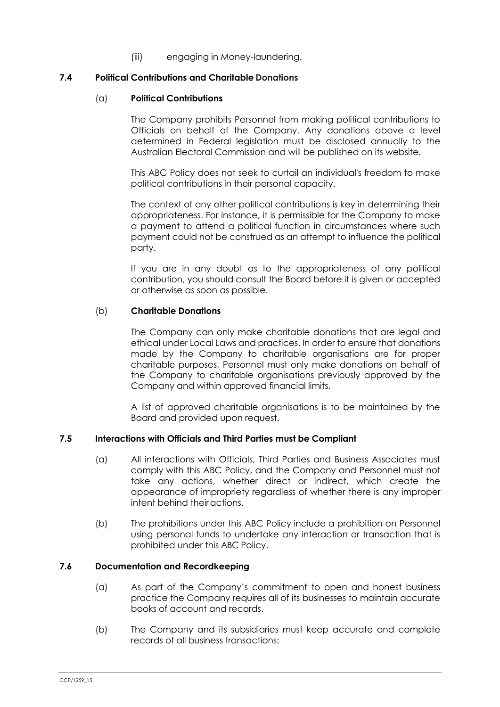(iii) engaging in Money-laundering.

#### **7.4 Political Contributions and Charitable Donations**

#### (a) **Political Contributions**

The Company prohibits Personnel from making political contributions to Officials on behalf of the Company. Any donations above a level determined in Federal legislation must be disclosed annually to the Australian Electoral Commission and will be published on its website.

This ABC Policy does not seek to curtail an individual's freedom to make political contributions in their personal capacity.

The context of any other political contributions is key in determining their appropriateness. For instance, it is permissible for the Company to make a payment to attend a political function in circumstances where such payment could not be construed as an attempt to influence the political party.

If you are in any doubt as to the appropriateness of any political contribution, you should consult the Board before it is given or accepted or otherwise as soon as possible.

#### (b) **Charitable Donations**

The Company can only make charitable donations that are legal and ethical under Local Laws and practices. In order to ensure that donations made by the Company to charitable organisations are for proper charitable purposes, Personnel must only make donations on behalf of the Company to charitable organisations previously approved by the Company and within approved financial limits.

A list of approved charitable organisations is to be maintained by the Board and provided upon request.

### **7.5 Interactions with Officials and Third Parties must be Compliant**

- (a) All interactions with Officials, Third Parties and Business Associates must comply with this ABC Policy, and the Company and Personnel must not take any actions, whether direct or indirect, which create the appearance of impropriety regardless of whether there is any improper intent behind theiractions.
- (b) The prohibitions under this ABC Policy include a prohibition on Personnel using personal funds to undertake any interaction or transaction that is prohibited under this ABC Policy.

#### **7.6 Documentation and Recordkeeping**

- (a) As part of the Company's commitment to open and honest business practice the Company requires all of its businesses to maintain accurate books of account and records.
- (b) The Company and its subsidiaries must keep accurate and complete records of all business transactions: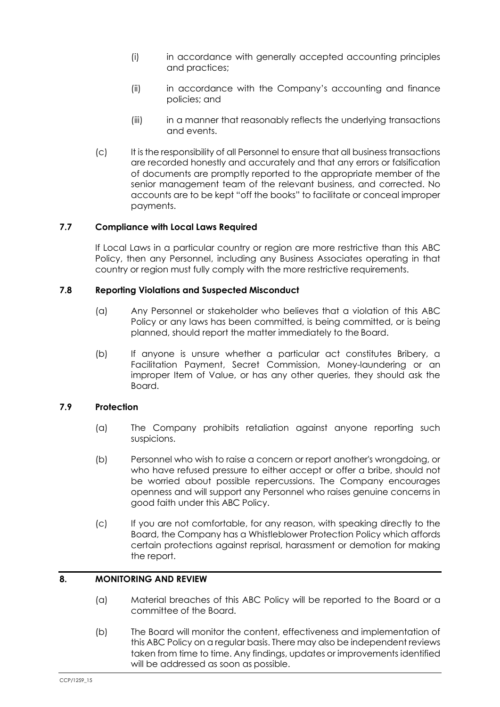- (i) in accordance with generally accepted accounting principles and practices;
- (ii) in accordance with the Company's accounting and finance policies; and
- (iii) in a manner that reasonably reflects the underlying transactions and events.
- (c) It is the responsibility of all Personnel to ensure that all business transactions are recorded honestly and accurately and that any errors or falsification of documents are promptly reported to the appropriate member of the senior management team of the relevant business, and corrected. No accounts are to be kept "off the books" to facilitate or conceal improper payments.

### **7.7 Compliance with Local Laws Required**

If Local Laws in a particular country or region are more restrictive than this ABC Policy, then any Personnel, including any Business Associates operating in that country or region must fully comply with the more restrictive requirements.

### **7.8 Reporting Violations and Suspected Misconduct**

- (a) Any Personnel or stakeholder who believes that a violation of this ABC Policy or any laws has been committed, is being committed, or is being planned, should report the matter immediately to the Board.
- (b) If anyone is unsure whether a particular act constitutes Bribery, a Facilitation Payment, Secret Commission, Money-laundering or an improper Item of Value, or has any other queries, they should ask the Board.

# **7.9 Protection**

- (a) The Company prohibits retaliation against anyone reporting such suspicions.
- (b) Personnel who wish to raise a concern or report another's wrongdoing, or who have refused pressure to either accept or offer a bribe, should not be worried about possible repercussions. The Company encourages openness and will support any Personnel who raises genuine concerns in good faith under this ABC Policy.
- (c) If you are not comfortable, for any reason, with speaking directly to the Board, the Company has a Whistleblower Protection Policy which affords certain protections against reprisal, harassment or demotion for making the report.

# **8. MONITORING AND REVIEW**

- (a) Material breaches of this ABC Policy will be reported to the Board or a committee of the Board.
- (b) The Board will monitor the content, effectiveness and implementation of this ABC Policy on a regular basis. There may also be independent reviews taken from time to time. Any findings, updates or improvements identified will be addressed as soon as possible.